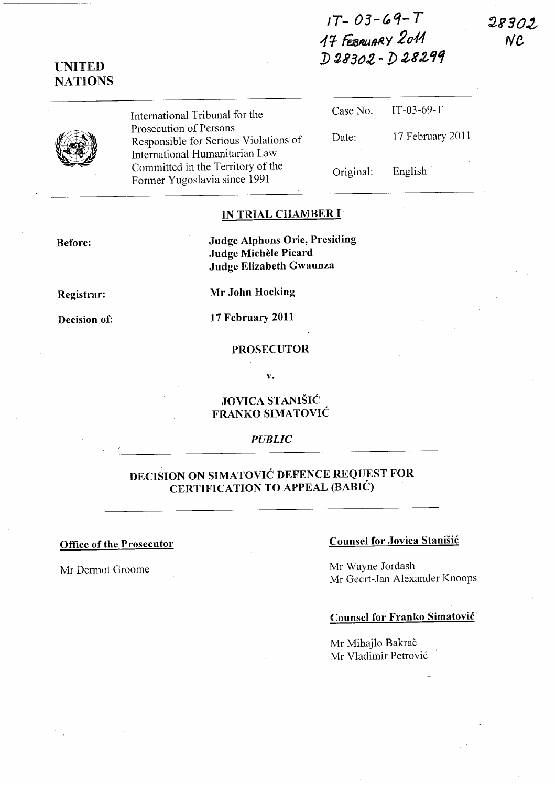# $1T - 03 - 69 - T$ 41- FuJRUR~Y *2011*  D 28302 - D 28299

28302 **NC** 



UNITED NATIONS

> International Tribunal for the Prosecution of Persons Responsible for Serious Violations of International Humanitarian Law Committed in the Territory of the Former Yugoslavia since 1991

| Case No.  | $IT-03-69-T$     |
|-----------|------------------|
| Date:     | 17 February 2011 |
| Original: | English          |

#### IN TRIAL CHAMBER I

Before:

Judge Alphons Orie, Presiding Judge Michele Picard Judge Elizabeth Gwaunza

Registrar:

Decision of:

Mr John Hocking

17 February 2011

#### PROSECUTOR

v.

#### JOVICA STANISIC FRANKO SIMATOVIC

#### *PUBLIC*

## DECISION ON SIMATOVIC DEFENCE REQUEST FOR CERTIFICATION TO APPEAL (BABIC)

## Office of the Prosecutor Counsel for Jovica Stanisic

Mr Dermot Groome Mr Wayne Jordash Mr Geert-Jan Alexander Knoops

### Counsel for Franko Simatovic

Mr Mihajlo Bakrač Mr Vladimir Petrović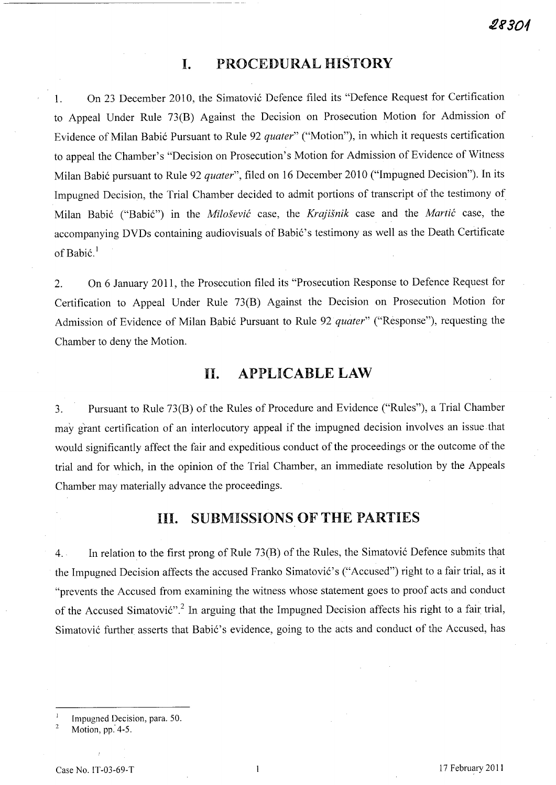## **I. PROCEDURAL HISTORY**

1. On 23 December 2010, the Simatovi6 Defence filed its "Defence Request for Certification to Appeal Under Rule 73(B) Against the Decision on Prosecution Motion for Admission of Evidence of Milan Babi6 Pursuant to Rule 92 *quater"* ("Motion"), in which it requests certification to appeal the Chamber's "Decision on Prosecution's Motion for Admission of Evidence of Witness Milan Babić pursuant to Rule 92 *quater*", filed on 16 December 2010 ("Impugned Decision"). In its Impugned Decision, the Trial Chamber decided to admit portions of transcript of the testimony of Milan Babi6 ("Babi6") in the *Milosevic* case, the *Krajisnik* case and the *Martic* case, the accompanying DVDs containing audiovisuals of Babić's testimony as well as the Death Certificate of Babić.<sup>1</sup>

2. On 6 January 2011, the Prosecution filed its "Prosecution Response to Defence Request for Certification to Appeal Under Rule 73(B) Against the Decision on Prosecution Motion for Admission of Evidence of Milan Babić Pursuant to Rule 92 *quater*" ("Response"), requesting the Chamber to deny the Motion.

## **11. APPLICABLE LAW**

3. Pursuant to Rule 73(B) of the Rules of Procedure and Evidence ("Rules"), a Trial Chamber may grant certification of an interlocutory appeal if the impugned decision involves an issue.that would significantly affect the fair and expeditious conduct of the proceedings or the outcome of the trial and for which, in the opinion of the Trial Chamber, an immediate resolution by the Appeals Chamber may materially advance the proceedings.

## **Ill. SUBMISSIONS OF THE PARTIES**

4. In relation to the first prong of Rule 73(B) of the Rules, the Simatović Defence submits that the Impugned Decision affects the accused Franko Simatović's ("Accused") right to a fair trial, as it "prevents the Accused from examining the witness whose statement goes to proof acts and conduct of the Accused Simatović".<sup>2</sup> In arguing that the Impugned Decision affects his right to a fair trial, Simatović further asserts that Babić's evidence, going to the acts and conduct of the Accused, has

 $\mathbf{I}$ Impugned Decision, para. 50.

 $\overline{2}$ Motion, pp: 4-5.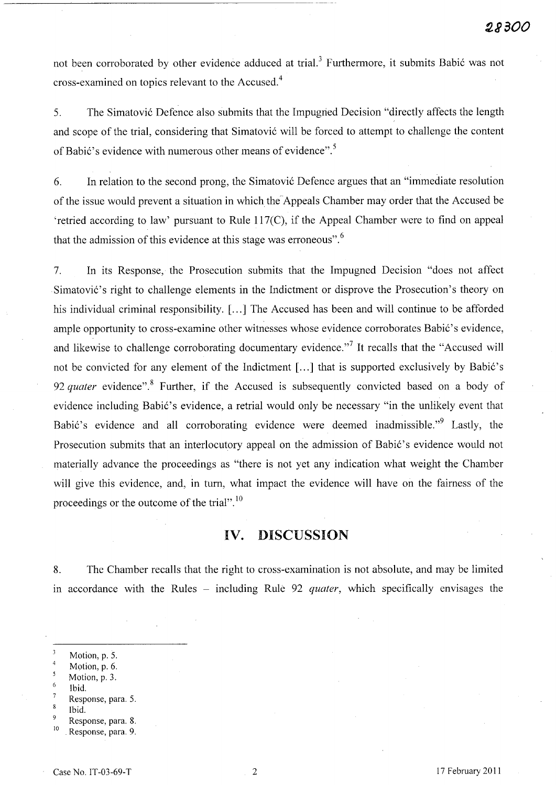not been corroborated by other evidence adduced at trial.<sup>3</sup> Furthermore, it submits Babić was not cross-examined on topics relevant to the Accused. <sup>4</sup>

----------------------------------- -

5. The Simatović Defence also submits that the Impugned Decision "directly affects the length and scope of the trial, considering that Simatović will be forced to attempt to challenge the content of Babić's evidence with numerous other means of evidence".<sup>5</sup>

6. In relation to the second prong, the Simatovi6 Defence argues that an "immediate resolution of the issue would prevent a situation in which the'Appeals Chamber may order that the Accused be 'retried according to law' pursuant to Rule 117(C), if the Appeal Chamber were to find on appeal that the admission of this evidence at this stage was erroneous".<sup>6</sup>

7. In its Response, the Prosecution submits that the Impugned Decision "does not affect Simatović's right to challenge elements in the Indictment or disprove the Prosecution's theory on his individual criminal responsibility. [...] The Accused has been and will continue to be afforded ample opportunity to cross-examine other witnesses whose evidence corroborates Babić's evidence, and likewise to challenge corroborating documentary evidence."<sup>7</sup> It recalls that the "Accused will not be convicted for any element of the Indictment [...] that is supported exclusively by Babić's 92 *quater* evidence".<sup>8</sup> Further, if the Accused is subsequently convicted based on a body of evidence including Babić's evidence, a retrial would only be necessary "in the unlikely event that Babić's evidence and all corroborating evidence were deemed inadmissible."<sup>9</sup> Lastly, the Prosecution submits that an interlocutory appeal on the admission of Babić's evidence would not materially advance the proceedings as "there is not yet any indication what weight the Chamber will give this evidence, and, in turn, what impact the evidence will have on the fairness of the proceedings or the outcome of the trial". 10

#### **IV. DISCUSSION**

8. The Chamber recalls that the right to cross-examination is not absolute, and may be limited in accordance with the Rules - including Rule 92 *quater*, which specifically envisages the

- Motion, p. 6.
- Motion, p. 3.
- Ibid.  $\overline{7}$
- Response, para. 5. 8
- Ibid.
- Response, para. 8.
- <sup>10</sup> Response, para. 9.

Motion, p. 5.